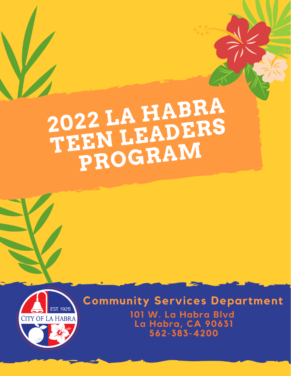# 2022 LA HABRA<br>TEEN LEADERS<br>PROGRAM



**Community Services Department** 101 W. La Habra Blvd La Habra, CA 90631 562-383-4200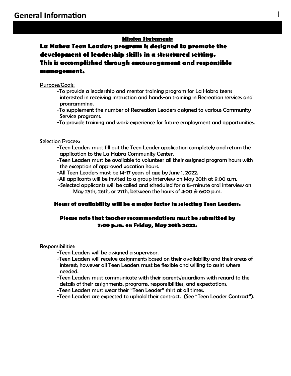# **Mission Statement:**

**La Habra Teen Leaders program is designed to promote the development of leadership skills in a structured setting. This is accomplished through encouragement and responsible management.** 

### Purpose/Goals:

- -To provide a leadership and mentor training program for La Habra teens interested in receiving instruction and hands-on training in Recreation services and programming.
- -To supplement the number of Recreation Leaders assigned to various Community Service programs.
- -To provide training and work experience for future employment and opportunities.

### Selection Process:

- -Teen Leaders must fill out the Teen Leader application completely and return the application to the La Habra Community Center.
- -Teen Leaders must be available to volunteer all their assigned program hours with the exception of approved vacation hours.
- -All Teen Leaders must be 14-17 years of age by June 1, 2022.
- -All applicants will be invited to a group interview on May 20th at 9:00 a.m.
- -Selected applicants will be called and scheduled for a 15-minute oral interview on May 25th, 26th, or 27th, between the hours of 4:00 & 6:00 p.m.

### **Hours of availability will be a major factor in selecting Teen Leaders.**

# **Please note that teacher recommendations must be submitted by 7:00 p.m. on Friday, May 20th 2022.**

### Responsibilities:

- -Teen Leaders will be assigned a supervisor.
- -Teen Leaders will receive assignments based on their availability and their areas of interest; however all Teen Leaders must be flexible and willing to assist where needed.
- -Teen Leaders must communicate with their parents/guardians with regard to the details of their assignments, programs, responsibilities, and expectations.
- -Teen Leaders must wear their "Teen Leader" shirt at all times.
- -Teen Leaders are expected to uphold their contract. (See "Teen Leader Contract").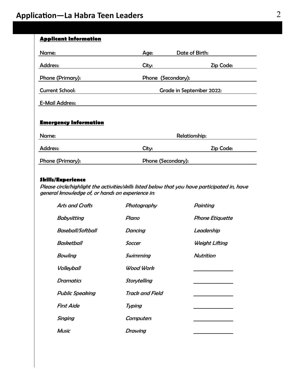| <b>Applicant Information</b> |                      |                          |
|------------------------------|----------------------|--------------------------|
| Name:                        | Age:                 | Date of Birth:           |
| <b>Address:</b>              | City:                | Zip Code:                |
| Phone (Primary):             | Phone (Secondary):   |                          |
| <b>Current School:</b>       |                      | Grade in September 2022: |
| <b>E-Mail Address:</b>       |                      |                          |
| <b>Emergency Information</b> |                      |                          |
| Name:                        | <b>Relationship:</b> |                          |
| <b>Address:</b>              | City:                | Zip Code:                |
| Phone (Primary):             | Phone (Secondary):   |                          |

# **Skills/Experience**

Please circle/highlight the activities/skills listed below that you have participated in, have general knowledge of, or hands on experience in:

| <b>Arts and Crafts</b> | Photography      | Painting        |
|------------------------|------------------|-----------------|
| Babysitting            | Piano            | Phone Etiquette |
| Baseball/Softball      | <b>Dancing</b>   | Leadership      |
| Basketball             | Soccer           | Weight Lifting  |
| <b>Bowling</b>         | Swimming         | Nutrition       |
| Volleyball             | Wood Work        |                 |
| Dramatics              | Storytelling     |                 |
| <b>Public Speaking</b> | Track and Field  |                 |
| <b>First Aide</b>      | Typing           |                 |
| Singing                | <b>Computers</b> |                 |
| <b>Music</b>           | Drawing          |                 |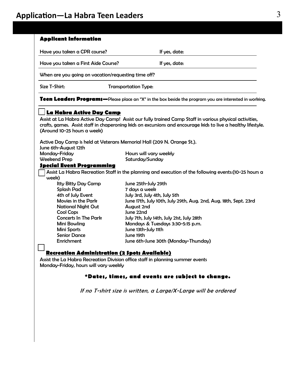# **Application—La Habra Teen Leaders** 3

| Have you taken a CPR course?                        | If yes, date:                                                                                                 |  |
|-----------------------------------------------------|---------------------------------------------------------------------------------------------------------------|--|
| Have you taken a First Aide Course?                 | If yes, date:                                                                                                 |  |
| When are you going on vacation/requesting time off? |                                                                                                               |  |
| Size T-Shirt:                                       | <b>Transportation Type:</b>                                                                                   |  |
|                                                     | Teen Leaders Programs—Please place an "X" in the box beside the program you are interested in working.        |  |
| La Habra Active Day Camp                            |                                                                                                               |  |
|                                                     | Assist at La Habra Active Day Camp! Assist our fully trained Camp Staff in various physical activities,       |  |
|                                                     | crafts, games. Assist staff in chaperoning kids on excursions and encourage kids to live a healthy lifestyle. |  |
| (Around 10-25 hours a week)                         |                                                                                                               |  |
|                                                     |                                                                                                               |  |
|                                                     | Active Day Camp is held at Veterans Memorial Hall (209 N. Orange St.).                                        |  |
| June 6th-August 12th                                |                                                                                                               |  |
| Monday-Friday                                       | Hours will vary weekly                                                                                        |  |
| <b>Weekend Prep</b>                                 | Saturday/Sunday                                                                                               |  |
| <b>Special Event Programming</b>                    |                                                                                                               |  |
|                                                     | Assist La Habra Recreation Staff in the planning and execution of the following events: (10-25 hours a        |  |
| week)                                               |                                                                                                               |  |
|                                                     | June 25th-July 29th                                                                                           |  |
|                                                     |                                                                                                               |  |
| Itty Bitty Day Camp                                 |                                                                                                               |  |
| <b>Splash Pad</b>                                   | 7 days a week                                                                                                 |  |
| 4th of July Event<br>Movies in the Park             | July 3rd, July 4th, July 5th                                                                                  |  |
|                                                     | June 17th, July 10th, July 29th, Aug. 2nd, Aug. 18th, Sept. 23rd                                              |  |
| <b>National Night Out</b>                           | August 2nd<br>June 22nd                                                                                       |  |
| <b>Cool Cops</b><br><b>Concerts In The Park</b>     |                                                                                                               |  |
|                                                     | July 7th, July 14th, July 21st, July 28th                                                                     |  |
| Mini Bowling                                        | Mondays & Tuesdays 3:30-5:15 p.m.                                                                             |  |
| Mini Sports<br><b>Senior Dance</b>                  | June 13th-July 11th<br>June 19th                                                                              |  |
| Enrichment                                          | June 6th-June 30th (Monday-Thursday)                                                                          |  |
|                                                     |                                                                                                               |  |
|                                                     | <b>Recreation Administration (2 Spots Available)</b>                                                          |  |
| Monday-Friday, hours will vary weekly               | Assist the La Habra Recreation Division office staff in planning summer events                                |  |
|                                                     | *Dates, times, and events are subject to change.                                                              |  |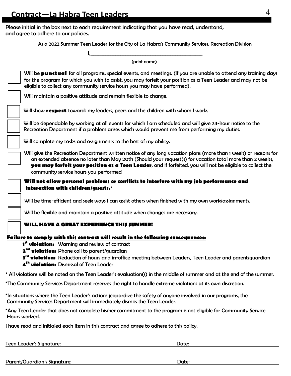Please initial in the box next to each requirement indicating that you have read, understand, and agree to adhere to our policies.

As a 2022 Summer Teen Leader for the City of La Habra's Community Services, Recreation Division

| (print name)                                                                                                                                                                                                                                                                                                                                                                      |
|-----------------------------------------------------------------------------------------------------------------------------------------------------------------------------------------------------------------------------------------------------------------------------------------------------------------------------------------------------------------------------------|
| Will be punctual for all programs, special events, and meetings. (If you are unable to attend any training days<br>for the program for which you wish to assist, you may forfeit your position as a Teen Leader and may not be<br>eligible to collect any community service hours you may have performed).                                                                        |
| Will maintain a positive attitude and remain flexible to change.                                                                                                                                                                                                                                                                                                                  |
| Will show respect towards my leaders, peers and the children with whom I work.                                                                                                                                                                                                                                                                                                    |
| Will be dependable by working at all events for which I am scheduled and will give 24-hour notice to the<br>Recreation Department if a problem arises which would prevent me from performing my duties.                                                                                                                                                                           |
| Will complete my tasks and assignments to the best of my ability.                                                                                                                                                                                                                                                                                                                 |
| Will give the Recreation Department written notice of any long vacation plans (more than 1 week) or reasons for<br>an extended absence no later than May 20th (Should your request(s) for vacation total more than 2 weeks,<br>you may forfeit your position as a Teen Leader, and if forfeited, you will not be eligible to collect the<br>community service hours you performed |
| Will not allow personal problems or conflicts to interfere with my job performance and<br>interaction with children/guests.*                                                                                                                                                                                                                                                      |
| Will be time-efficient and seek ways I can assist others when finished with my own work/assignments.                                                                                                                                                                                                                                                                              |
| Will be flexible and maintain a positive attitude when changes are necessary.                                                                                                                                                                                                                                                                                                     |
| WILL HAVE A GREAT EXPERIENCE THIS SUMMER!                                                                                                                                                                                                                                                                                                                                         |
| Failure to comply with this contract will result in the following consequences:                                                                                                                                                                                                                                                                                                   |
| 1 <sup>st</sup> violation: Warning and review of contract                                                                                                                                                                                                                                                                                                                         |
| 2 <sup>nd</sup> violation: Phone call to parent/guardian                                                                                                                                                                                                                                                                                                                          |
| 3 <sup>rd</sup> violation: Reduction of hours and in-office meeting between Leaders, Teen Leader and parent/guardian<br>4 <sup>th</sup> violation: Dismissal of Teen Leader                                                                                                                                                                                                       |
| * All violations will be noted on the Teen Leader's evaluation(s) in the middle of summer and at the end of the summer.                                                                                                                                                                                                                                                           |
| *The Community Services Department reserves the right to handle extreme violations at its own discretion.                                                                                                                                                                                                                                                                         |
|                                                                                                                                                                                                                                                                                                                                                                                   |

\*In situations where the Teen Leader's actions jeopardize the safety of anyone involved in our programs, the Community Services Department will immediately dismiss the Teen Leader.

\*Any Teen Leader that does not complete his/her commitment to the program is not eligible for Community Service Hours worked.

I have read and initialed each item in this contract and agree to adhere to this policy.

| Teen Leader's Signature: | Date: |
|--------------------------|-------|
|--------------------------|-------|

Parent/Guardian's Signature: Date: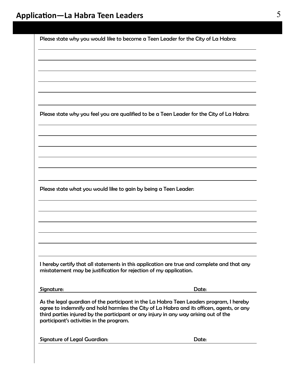|                                                                                                                                                      | Please state why you feel you are qualified to be a Teen Leader for the City of La Habra:                                                                                                                                                                                                                                                                                    |
|------------------------------------------------------------------------------------------------------------------------------------------------------|------------------------------------------------------------------------------------------------------------------------------------------------------------------------------------------------------------------------------------------------------------------------------------------------------------------------------------------------------------------------------|
|                                                                                                                                                      |                                                                                                                                                                                                                                                                                                                                                                              |
|                                                                                                                                                      |                                                                                                                                                                                                                                                                                                                                                                              |
|                                                                                                                                                      |                                                                                                                                                                                                                                                                                                                                                                              |
|                                                                                                                                                      |                                                                                                                                                                                                                                                                                                                                                                              |
|                                                                                                                                                      |                                                                                                                                                                                                                                                                                                                                                                              |
|                                                                                                                                                      |                                                                                                                                                                                                                                                                                                                                                                              |
|                                                                                                                                                      |                                                                                                                                                                                                                                                                                                                                                                              |
|                                                                                                                                                      |                                                                                                                                                                                                                                                                                                                                                                              |
|                                                                                                                                                      |                                                                                                                                                                                                                                                                                                                                                                              |
|                                                                                                                                                      |                                                                                                                                                                                                                                                                                                                                                                              |
|                                                                                                                                                      |                                                                                                                                                                                                                                                                                                                                                                              |
|                                                                                                                                                      |                                                                                                                                                                                                                                                                                                                                                                              |
|                                                                                                                                                      |                                                                                                                                                                                                                                                                                                                                                                              |
|                                                                                                                                                      |                                                                                                                                                                                                                                                                                                                                                                              |
|                                                                                                                                                      |                                                                                                                                                                                                                                                                                                                                                                              |
|                                                                                                                                                      |                                                                                                                                                                                                                                                                                                                                                                              |
|                                                                                                                                                      |                                                                                                                                                                                                                                                                                                                                                                              |
| Please state what you would like to gain by being a Teen Leader:<br>misstatement may be justification for rejection of my application.<br>Signature: | Date:                                                                                                                                                                                                                                                                                                                                                                        |
| participant's activities in the program.                                                                                                             | I hereby certify that all statements in this application are true and complete and that any<br>As the legal guardian of the participant in the La Habra Teen Leaders program, I hereby<br>agree to indemnify and hold harmless the City of La Habra and its officers, agents, or any<br>third parties injured by the participant or any injury in any way arising out of the |